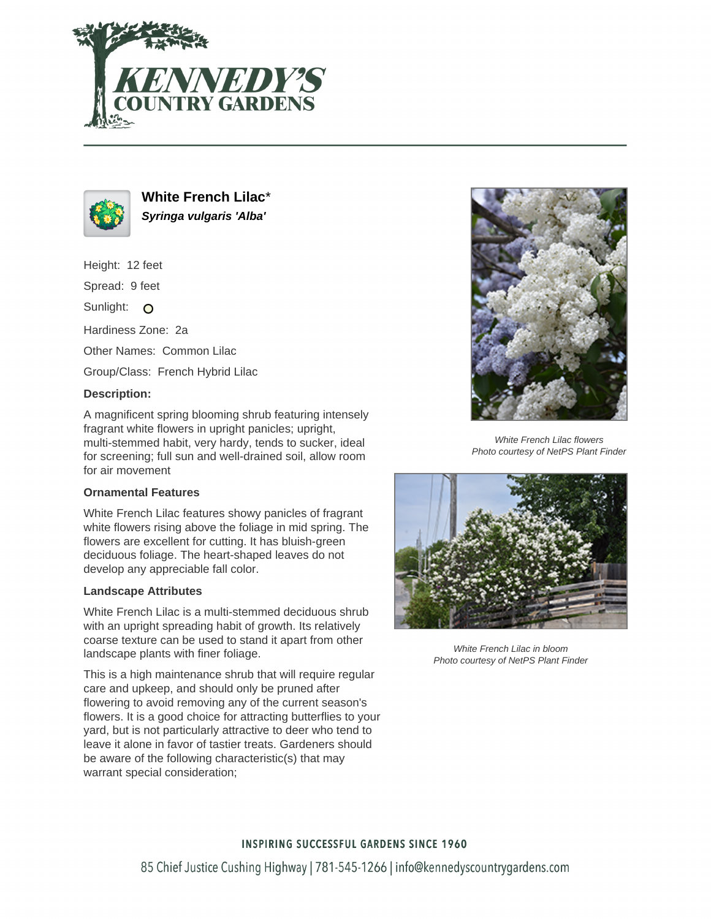



**White French Lilac**\* **Syringa vulgaris 'Alba'**

Height: 12 feet

Spread: 9 feet

Sunlight: O

Hardiness Zone: 2a

Other Names: Common Lilac

Group/Class: French Hybrid Lilac

### **Description:**

A magnificent spring blooming shrub featuring intensely fragrant white flowers in upright panicles; upright, multi-stemmed habit, very hardy, tends to sucker, ideal for screening; full sun and well-drained soil, allow room for air movement

## **Ornamental Features**

White French Lilac features showy panicles of fragrant white flowers rising above the foliage in mid spring. The flowers are excellent for cutting. It has bluish-green deciduous foliage. The heart-shaped leaves do not develop any appreciable fall color.

#### **Landscape Attributes**

White French Lilac is a multi-stemmed deciduous shrub with an upright spreading habit of growth. Its relatively coarse texture can be used to stand it apart from other landscape plants with finer foliage.

This is a high maintenance shrub that will require regular care and upkeep, and should only be pruned after flowering to avoid removing any of the current season's flowers. It is a good choice for attracting butterflies to your yard, but is not particularly attractive to deer who tend to leave it alone in favor of tastier treats. Gardeners should be aware of the following characteristic(s) that may warrant special consideration;



White French Lilac flowers Photo courtesy of NetPS Plant Finder



White French Lilac in bloom Photo courtesy of NetPS Plant Finder

## **INSPIRING SUCCESSFUL GARDENS SINCE 1960**